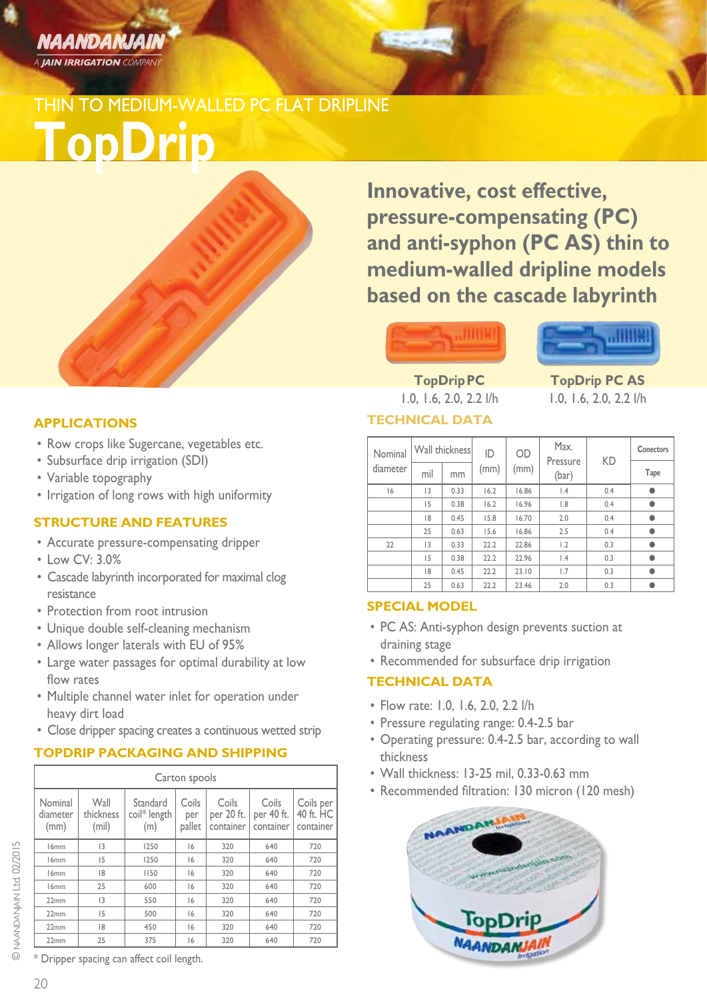

## THIN TO MEDIUM-WALLED PC FLAT DRIPLINE

**TopDrip**

**Innovative, cost effective, pressure-compensating (PC) and anti-syphon (PC AS) thin to medium-walled dripline models based on the cascade labyrinth**

## лина



**TopDrip PC TopDrip PC AS** 1.0, 1.6, 2.0, 2.2 l/h 1.0, 1.6, 2.0, 2.2 l/h

## **TECHNICAL DATA**

| Nominal  | Wall thickness |      | ID   | OD    | Max.<br>Pressure | KD  | Conectors |
|----------|----------------|------|------|-------|------------------|-----|-----------|
| diameter | mil            | mm   | (mm) | (mm)  | (bar)            |     | Tape      |
| 6        | 3              | 0.33 | 16.2 | 16.86 | $\vert .4$       | 0.4 |           |
|          | 15             | 0.38 | 16.2 | 16.96 | $\overline{8}$   | 0.4 |           |
|          | 18             | 0.45 | 15.8 | 16.70 | 2.0              | 0.4 |           |
|          | 25             | 0.63 | 15.6 | 16.86 | 2.5              | 0.4 |           |
| 22       | 3              | 0.33 | 22.2 | 22.86 | 1.2              | 0.3 |           |
|          | 15             | 0.38 | 22.2 | 22.96 | $\vert A$        | 0.3 |           |
|          | 18             | 0.45 | 22.2 | 23.10 | 1.7              | 0.3 |           |
|          | 25             | 0.63 | 22.2 | 23.46 | 2.0              | 0.3 |           |

## **SPECIAL MODEL**

- PC AS: Anti-syphon design prevents suction at draining stage
- Recommended for subsurface drip irrigation

## **TECHNICAL DATA**

- Flow rate: 1.0, 1.6, 2.0, 2.2 l/h
- Pressure regulating range: 0.4-2.5 bar
- Operating pressure: 0.4-2.5 bar, according to wall thickness
- • Wall thickness: 13-25 mil, 0.33-0.63 mm
- Recommended filtration: 130 micron (120 mesh)



### **APPLICATIONS**

- Row crops like Sugercane, vegetables etc.
- • Subsurface drip irrigation (SDI)
- Variable topography
- Irrigation of long rows with high uniformity

### **STRUCTURE AND FEATURES**

- • Accurate pressure-compensating dripper
- Low CV: 3.0%
- Cascade labyrinth incorporated for maximal clog resistance
- Protection from root intrusion
- Unique double self-cleaning mechanism
- • Allows longer laterals with EU of 95%
- Large water passages for optimal durability at low flow rates
- Multiple channel water inlet for operation under heavy dirt load
- Close dripper spacing creates a continuous wetted strip

## **TOPDRIP PACKAGING AND SHIPPING**

|                             | Carton spools              |                                 |                        |                                  |                                  |                                     |  |  |  |  |  |  |
|-----------------------------|----------------------------|---------------------------------|------------------------|----------------------------------|----------------------------------|-------------------------------------|--|--|--|--|--|--|
| Nominal<br>diameter<br>(mm) | Wall<br>thickness<br>(mil) | Standard<br>coil* length<br>(m) | Coils<br>per<br>pallet | Coils<br>per 20 ft.<br>container | Coils<br>per 40 ft.<br>container | Coils per<br>40 ft. HC<br>container |  |  |  |  |  |  |
| 16 <sub>mm</sub>            | 3                          | 1250                            | 16                     | 320                              | 640                              | 720                                 |  |  |  |  |  |  |
| 16 <sub>mm</sub>            | 15                         | 1250                            | 16                     | 320                              | 640                              | 720                                 |  |  |  |  |  |  |
| 16 <sub>mm</sub>            | 18                         | 1150                            | 16                     | 320                              | 640                              | 720                                 |  |  |  |  |  |  |
| 16 <sub>mm</sub>            | 25                         | 600                             | 6                      | 320                              | 640                              | 720                                 |  |  |  |  |  |  |
| 22mm                        | 3                          | 550                             | 16                     | 320                              | 640                              | 720                                 |  |  |  |  |  |  |
| 22mm                        | 15                         | 500                             | 16                     | 320                              | 640                              | 720                                 |  |  |  |  |  |  |
| 22mm                        | 18                         | 450                             | 6                      | 320                              | 640                              | 720                                 |  |  |  |  |  |  |
| 22mm                        | 25                         | 375                             | 16                     | 320                              | 640                              | 720                                 |  |  |  |  |  |  |

\* Dripper spacing can affect coil length.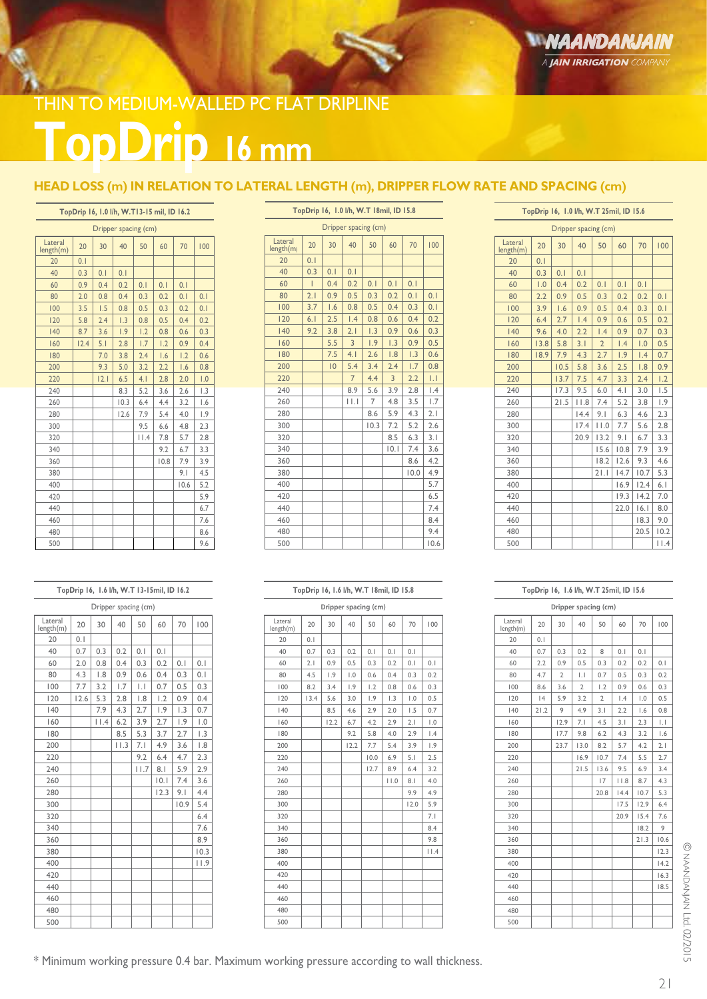# **TopDrip 16 mm** THIN TO MEDIUM-WALLED PC FLAT DRIPLINE

## **HEAD LOSS (m) IN RELATION TO LATERAL LENGTH (m), DRIPPER FLOW RATE AND SPACING (cm)**

**TopDrip 16, 1.0 l/h, W.T 18mil, ID 15.8**

### **TopDrip 16, 1.0 l/h, W.T13-15 mil, ID 16.2**

|                      |      | Dripper spacing (cm) |      |      |      |      |                |
|----------------------|------|----------------------|------|------|------|------|----------------|
| Lateral<br>length(m) | 20   | 30                   | 40   | 50   | 60   | 70   | 100            |
| 20                   | 0.1  |                      |      |      |      |      |                |
| 40                   | 0.3  | 0.1                  | 0.1  |      |      |      |                |
| 60                   | 0.9  | 0.4                  | 0.2  | 0.1  | 0.1  | 0.1  |                |
| 80                   | 2.0  | 0.8                  | 0.4  | 0.3  | 0.2  | 0.1  | 0.1            |
| 100                  | 3.5  | 1.5                  | 0.8  | 0.5  | 0.3  | 0.2  | 0.1            |
| 120                  | 5.8  | 2.4                  | 1.3  | 0.8  | 0.5  | 0.4  | 0.2            |
| 140                  | 8.7  | 3.6                  | 1.9  | 1.2  | 0.8  | 0.6  | 0.3            |
| 160                  | 12.4 | 5.1                  | 2.8  | 1.7  | 1.2  | 0.9  | 0.4            |
| 180                  |      | 7.0                  | 3.8  | 2.4  | 1.6  | 1.2  | 0.6            |
| 200                  |      | 9.3                  | 5.0  | 3.2  | 2.2  | 1.6  | 0.8            |
| 220                  |      | 2.1                  | 6.5  | 4.1  | 2.8  | 2.0  | 1.0            |
| 240                  |      |                      | 8.3  | 5.2  | 3.6  | 2.6  | L <sub>3</sub> |
| 260                  |      |                      | 10.3 | 6.4  | 4.4  | 3.2  | 1.6            |
| 280                  |      |                      | 12.6 | 7.9  | 5.4  | 4.0  | 1.9            |
| 300                  |      |                      |      | 9.5  | 6.6  | 4.8  | 2.3            |
| 320                  |      |                      |      | 11.4 | 7.8  | 5.7  | 2.8            |
| 340                  |      |                      |      |      | 9.2  | 6.7  | 3.3            |
| 360                  |      |                      |      |      | 10.8 | 7.9  | 3.9            |
| 380                  |      |                      |      |      |      | 9.1  | 4.5            |
| 400                  |      |                      |      |      |      | 10.6 | 5.2            |
| 420                  |      |                      |      |      |      |      | 5.9            |
| 440                  |      |                      |      |      |      |      | 6.7            |
| 460                  |      |                      |      |      |      |      | 7.6            |
| 480                  |      |                      |      |      |      |      | 8.6            |
| 500                  |      |                      |      |      |      |      | 9.6            |

### **TopDrip 16, 1.6 l/h, W.T 13-15mil, ID 16.2**

| Dripper spacing (cm) |      |                |            |      |      |                  |                  |  |  |  |
|----------------------|------|----------------|------------|------|------|------------------|------------------|--|--|--|
| Lateral<br>length(m) | 20   | 30             | 40         | 50   | 60   | 70               | 100              |  |  |  |
| 20                   | 0.1  |                |            |      |      |                  |                  |  |  |  |
| 40                   | 0.7  | 0.3            | 0.2        | 0.1  | 0.1  |                  |                  |  |  |  |
| 60                   | 2.0  | 0.8            | 0.4        | 0.3  | 0.2  | 0.1              | 0.1              |  |  |  |
| 80                   | 4.3  | $\overline{8}$ | 0.9        | 0.6  | 0.4  | 0.3              | 0.1              |  |  |  |
| 100                  | 7.7  | 3.2            | 1.7        | IJ   | 0.7  | 0.5              | 0.3              |  |  |  |
| 120                  | 12.6 | 5.3            | 2.8        | 1.8  | 1.2  | 0.9              | 0.4              |  |  |  |
| 140                  |      | 7.9            | 4.3        | 2.7  | 1.9  | $\overline{1.3}$ | 0.7              |  |  |  |
| 160                  |      | $ $   $.4$     | 6.2        | 3.9  | 2.7  | 1.9              | $\overline{0}$ . |  |  |  |
| 180                  |      |                | 8.5        | 5.3  | 3.7  | 2.7              | $\overline{1.3}$ |  |  |  |
| 200                  |      |                | $ $ $ $ .3 | 7.1  | 4.9  | 3.6              | 1.8              |  |  |  |
| 220                  |      |                |            | 9.2  | 6.4  | 4.7              | 2.3              |  |  |  |
| 240                  |      |                |            | 11.7 | 8.1  | 5.9              | 2.9              |  |  |  |
| 260                  |      |                |            |      | 0.1  | 7.4              | 3.6              |  |  |  |
| 280                  |      |                |            |      | 12.3 | 9.1              | 4.4              |  |  |  |
| 300                  |      |                |            |      |      | 10.9             | 5.4              |  |  |  |
| 320                  |      |                |            |      |      |                  | 6.4              |  |  |  |
| 340                  |      |                |            |      |      |                  | 7.6              |  |  |  |
| 360                  |      |                |            |      |      |                  | 8.9              |  |  |  |
| 380                  |      |                |            |      |      |                  | 10.3             |  |  |  |
| 400                  |      |                |            |      |      |                  | 11.9             |  |  |  |
| 420                  |      |                |            |      |      |                  |                  |  |  |  |
| 440                  |      |                |            |      |      |                  |                  |  |  |  |
| 460                  |      |                |            |      |      |                  |                  |  |  |  |
| 480                  |      |                |            |      |      |                  |                  |  |  |  |
| 500                  |      |                |            |      |      |                  |                  |  |  |  |

| Dripper spacing (cm) |     |                |                |                |     |      |      |  |  |  |
|----------------------|-----|----------------|----------------|----------------|-----|------|------|--|--|--|
|                      |     |                |                |                |     |      |      |  |  |  |
| Lateral<br>length(m) | 20  | 30             | 40             | 50             | 60  | 70   | 100  |  |  |  |
| 20                   | 0.1 |                |                |                |     |      |      |  |  |  |
| 40                   | 0.3 | 0.1            | 0.1            |                |     |      |      |  |  |  |
| 60                   | Ī   | 0.4            | 0.2            | 0.1            | 0.1 | 0.1  |      |  |  |  |
| 80                   | 2.1 | 0.9            | 0.5            | 0.3            | 0.2 | 0.1  | 0.1  |  |  |  |
| 100                  | 3.7 | 1.6            | 0.8            | 0.5            | 0.4 | 0.3  | 0.1  |  |  |  |
| 120                  | 6.1 | 2.5            | 1.4            | 0.8            | 0.6 | 0.4  | 0.2  |  |  |  |
| 140                  | 9.2 | 3.8            | 2.1            | 1.3            | 0.9 | 0.6  | 0.3  |  |  |  |
| 160                  |     | 5.5            | 3              | 1.9            | 1.3 | 0.9  | 0.5  |  |  |  |
| 180                  |     | 7.5            | 4.1            | 2.6            | 1.8 | 1.3  | 0.6  |  |  |  |
| 200                  |     | $\overline{0}$ | 5.4            | 3.4            | 2.4 | 1.7  | 0.8  |  |  |  |
| 220                  |     |                | $\overline{7}$ | 4.4            | 3   | 2.2  | IJ   |  |  |  |
| 240                  |     |                | 8.9            | 5.6            | 3.9 | 2.8  | .4   |  |  |  |
| 260                  |     |                | $  \cdot  $    | $\overline{7}$ | 4.8 | 3.5  | 1.7  |  |  |  |
| 280                  |     |                |                | 8.6            | 5.9 | 4.3  | 2.1  |  |  |  |
| 300                  |     |                |                | 10.3           | 7.2 | 5.2  | 2.6  |  |  |  |
| 320                  |     |                |                |                | 8.5 | 6.3  | 3.1  |  |  |  |
| 340                  |     |                |                |                | 0.1 | 7.4  | 3.6  |  |  |  |
| 360                  |     |                |                |                |     | 8.6  | 4.2  |  |  |  |
| 380                  |     |                |                |                |     | 10.0 | 4.9  |  |  |  |
| 400                  |     |                |                |                |     |      | 5.7  |  |  |  |
| 420                  |     |                |                |                |     |      | 6.5  |  |  |  |
| 440                  |     |                |                |                |     |      | 7.4  |  |  |  |
| 460                  |     |                |                |                |     |      | 8.4  |  |  |  |
| 480                  |     |                |                |                |     |      | 9.4  |  |  |  |
| 500                  |     |                |                |                |     |      | 10.6 |  |  |  |

|                      |      |      | TopDrip 16, 1.6 I/h, W.T 18mil, ID 15.8 |      |                  |      |                  |
|----------------------|------|------|-----------------------------------------|------|------------------|------|------------------|
|                      |      |      | Dripper spacing (cm)                    |      |                  |      |                  |
| Lateral<br>length(m) | 20   | 30   | 40                                      | 50   | 60               | 70   | 100              |
| 20                   | 0.1  |      |                                         |      |                  |      |                  |
| 40                   | 0.7  | 0.3  | 0.2                                     | 0.1  | 0.1              | 0.1  |                  |
| 60                   | 2.1  | 0.9  | 0.5                                     | 0.3  | 0.2              | 0.1  | 0.1              |
| 80                   | 4.5  | 1.9  | 1.0                                     | 0.6  | 0.4              | 0.3  | 0.2              |
| 100                  | 8.2  | 3.4  | 1.9                                     | 1.2  | 0.8              | 0.6  | 0.3              |
| 120                  | 13.4 | 5.6  | 3.0                                     | 1.9  | $\overline{1.3}$ | 1.0  | 0.5              |
| 140                  |      | 8.5  | 4.6                                     | 2.9  | 2.0              | 1.5  | 0.7              |
| 160                  |      | 12.2 | 6.7                                     | 4.2  | 2.9              | 2.1  | $\overline{0}$ . |
| 180                  |      |      | 9.2                                     | 5.8  | 4.0              | 2.9  | 1.4              |
| 200                  |      |      | 12.2                                    | 7.7  | 5.4              | 3.9  | $\overline{1.9}$ |
| 220                  |      |      |                                         | 10.0 | 6.9              | 5.1  | 2.5              |
| 240                  |      |      |                                         | 12.7 | 8.9              | 6.4  | 3.2              |
| 260                  |      |      |                                         |      | 11.0             | 8.1  | 4.0              |
| 280                  |      |      |                                         |      |                  | 9.9  | 4.9              |
| 300                  |      |      |                                         |      |                  | 12.0 | 5.9              |
| 320                  |      |      |                                         |      |                  |      | 7.1              |
| 340                  |      |      |                                         |      |                  |      | 8.4              |
| 360                  |      |      |                                         |      |                  |      | 9.8              |
| 380                  |      |      |                                         |      |                  |      | 11.4             |
| 400                  |      |      |                                         |      |                  |      |                  |
| 420                  |      |      |                                         |      |                  |      |                  |
| 440                  |      |      |                                         |      |                  |      |                  |
| 460                  |      |      |                                         |      |                  |      |                  |
| 480                  |      |      |                                         |      |                  |      |                  |
| 500                  |      |      |                                         |      |                  |      |                  |

| TopDrip 16, 1.0 l/h, W.T 25mil, ID 15.6 |  |  |
|-----------------------------------------|--|--|

|                      |      |      | Dripper spacing (cm) |                |      |      |            |
|----------------------|------|------|----------------------|----------------|------|------|------------|
| Lateral<br>length(m) | 20   | 30   | 40                   | 50             | 60   | 70   | 100        |
| 20                   | 0.1  |      |                      |                |      |      |            |
| 40                   | 0.3  | 0.1  | 0.1                  |                |      |      |            |
| 60                   | 1.0  | 0.4  | 0.2                  | 0.1            | 0.1  | 0.1  |            |
| 80                   | 2.2  | 0.9  | 0.5                  | 0.3            | 0.2  | 0.2  | 0.1        |
| 100                  | 3.9  | 1.6  | 0.9                  | 0.5            | 0.4  | 0.3  | 0.1        |
| 120                  | 6.4  | 2.7  | $\overline{1.4}$     | 0.9            | 0.6  | 0.5  | 0.2        |
| 140                  | 9.6  | 4.0  | 2.2                  | 1.4            | 0.9  | 0.7  | 0.3        |
| 160                  | 13.8 | 5.8  | 3.1                  | $\overline{2}$ | 1.4  | 1.0  | 0.5        |
| 180                  | 18.9 | 7.9  | 4.3                  | 2.7            | 1.9  | 1.4  | 0.7        |
| 200                  |      | 10.5 | 5.8                  | 3.6            | 2.5  | 1.8  | 0.9        |
| 220                  |      | 13.7 | 7.5                  | 4.7            | 3.3  | 2.4  | 1.2        |
| 240                  |      | 17.3 | 9.5                  | 6.0            | 4.1  | 3.0  | 1.5        |
| 260                  |      | 21.5 | $ $ $ $ $ $ $ $      | 7.4            | 5.2  | 3.8  | 1.9        |
| 280                  |      |      | 14.4                 | 9.1            | 6.3  | 4.6  | 2.3        |
| 300                  |      |      | 17.4                 | $ $ $ $ .0     | 7.7  | 5.6  | 2.8        |
| 320                  |      |      | 20.9                 | 13.2           | 9.1  | 6.7  | 3.3        |
| 340                  |      |      |                      | 15.6           | 10.8 | 7.9  | 3.9        |
| 360                  |      |      |                      | 18.2           | 12.6 | 9.3  | 4.6        |
| 380                  |      |      |                      | 21.1           | 14.7 | 10.7 | 5.3        |
| 400                  |      |      |                      |                | 16.9 | 12.4 | 6.1        |
| 420                  |      |      |                      |                | 19.3 | 14.2 | 7.0        |
| 440                  |      |      |                      |                | 22.0 | 16.1 | 8.0        |
| 460                  |      |      |                      |                |      | 18.3 | 9.0        |
| 480                  |      |      |                      |                |      | 20.5 | 10.2       |
| 500                  |      |      |                      |                |      |      | $ $ $ $ .4 |

### **TopDrip 16, 1.6 l/h, W.T 25mil, ID 15.6**

|                      |      | Dripper spacing (cm) |                |                |                  |      |      |
|----------------------|------|----------------------|----------------|----------------|------------------|------|------|
| Lateral<br>length(m) | 20   | 30                   | 40             | 50             | 60               | 70   | 100  |
| 20                   | 0.1  |                      |                |                |                  |      |      |
| 40                   | 0.7  | 0.3                  | 0.2            | 8              | 0.1              | 0.1  |      |
| 60                   | 2.2  | 0.9                  | 0.5            | 0.3            | 0.2              | 0.2  | 0.1  |
| 80                   | 4.7  | $\overline{2}$       | IJ             | 0.7            | 0.5              | 0.3  | 0.2  |
| 100                  | 8.6  | 3.6                  | $\overline{2}$ | 1.2            | 0.9              | 0.6  | 0.3  |
| 120                  | 4    | 5.9                  | 3.2            | $\overline{2}$ | $\overline{1.4}$ | 1.0  | 0.5  |
| 140                  | 21.2 | 9                    | 4.9            | 3.1            | 2.2              | 1.6  | 0.8  |
| 160                  |      | 12.9                 | 7.1            | 4.5            | 3.1              | 2.3  | IJ   |
| 180                  |      | 17.7                 | 9.8            | 6.2            | 4.3              | 3.2  | 1.6  |
| 200                  |      | 23.7                 | 13.0           | 8.2            | 5.7              | 4.2  | 2.1  |
| 220                  |      |                      | 16.9           | 10.7           | 7.4              | 5.5  | 2.7  |
| 240                  |      |                      | 21.5           | 13.6           | 9.5              | 6.9  | 3.4  |
| 260                  |      |                      |                | 17             | $ $ $ $ .8       | 8.7  | 4.3  |
| 280                  |      |                      |                | 20.8           | 14.4             | 10.7 | 5.3  |
| 300                  |      |                      |                |                | 17.5             | 12.9 | 6.4  |
| 320                  |      |                      |                |                | 20.9             | 15.4 | 7.6  |
| 340                  |      |                      |                |                |                  | 18.2 | 9    |
| 360                  |      |                      |                |                |                  | 21.3 | 10.6 |
| 380                  |      |                      |                |                |                  |      | 12.3 |
| 400                  |      |                      |                |                |                  |      | 14.2 |
| 420                  |      |                      |                |                |                  |      | 16.3 |
| 440                  |      |                      |                |                |                  |      | 18.5 |
| 460                  |      |                      |                |                |                  |      |      |
| 480                  |      |                      |                |                |                  |      |      |
| 500                  |      |                      |                |                |                  |      |      |

\* Minimum working pressure 0.4 bar. Maximum working pressure according to wall thickness.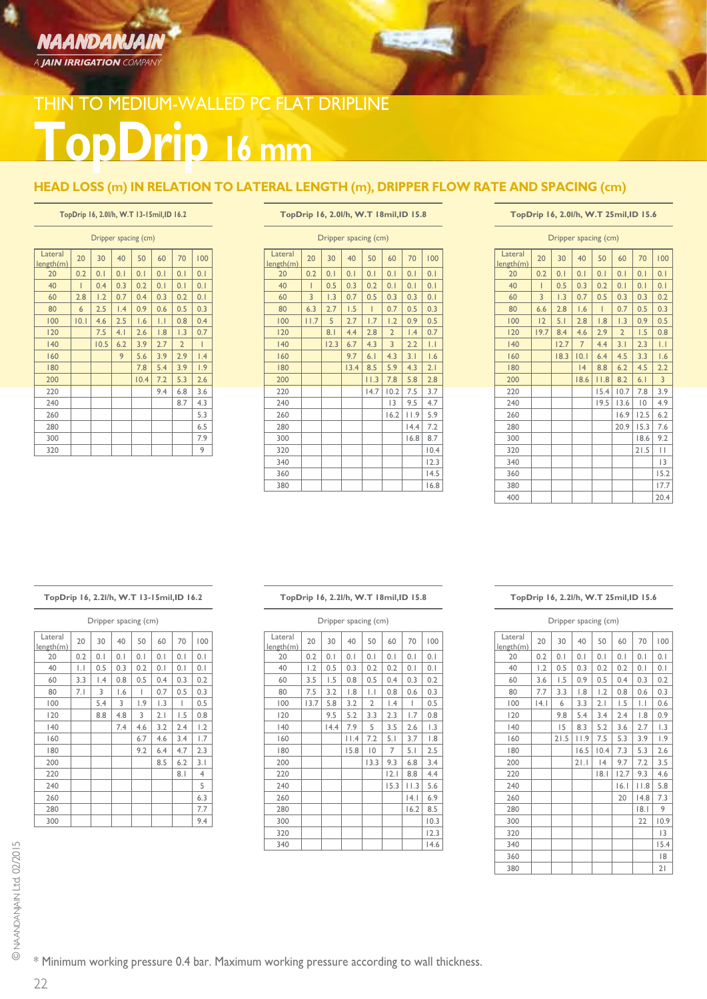## NAANDANJAIN A **JAIN IRRIGATION** COMPANY

## **TopDrip 16 mm** THIN TO MEDIUM-WALLED PC FLAT DRIPLINE

### **HEAD LOSS (m) IN RELATION TO LATERAL LENGTH (m), DRIPPER FLOW RATE AND SPACING (cm)**

### **TopDrip 16, 2.0l/h, W.T 13-15mil,ID 16.2**

| Dripper spacing (cm) |     |      |     |      |                |                |                 |  |  |  |  |
|----------------------|-----|------|-----|------|----------------|----------------|-----------------|--|--|--|--|
| Lateral<br>length(m) | 20  | 30   | 40  | 50   | 60             | 70             | 100             |  |  |  |  |
| 20                   | 0.2 | 0.1  | 0.1 | 0.1  | 0.1            | 0.1            | 0.1             |  |  |  |  |
| 40                   | T   | 0.4  | 0.3 | 0.2  | 0.1            | 0.1            | 0.1             |  |  |  |  |
| 60                   | 2.8 | 1.2  | 0.7 | 0.4  | 0.3            | 0.2            | 0.1             |  |  |  |  |
| 80                   | 6   | 2.5  | 1.4 | 0.9  | 0.6            | 0.5            | 0.3             |  |  |  |  |
| 100                  | 0.1 | 4.6  | 2.5 | 1.6  | $\overline{L}$ | 0.8            | 0.4             |  |  |  |  |
| 120                  |     | 7.5  | 4.1 | 2.6  | 1.8            | 1.3            | 0.7             |  |  |  |  |
| 140                  |     | 10.5 | 6.2 | 3.9  | 2.7            | $\overline{2}$ | I               |  |  |  |  |
| 160                  |     |      | 9   | 5.6  | 3.9            | 2.9            | $\mathsf{I}$ .4 |  |  |  |  |
| 180                  |     |      |     | 7.8  | 5.4            | 3.9            | 1.9             |  |  |  |  |
| 200                  |     |      |     | 10.4 | 7.2            | 5.3            | 2.6             |  |  |  |  |
| 220                  |     |      |     |      | 9.4            | 6.8            | 3.6             |  |  |  |  |
| 240                  |     |      |     |      |                | 8.7            | 4.3             |  |  |  |  |
| 260                  |     |      |     |      |                |                | 5.3             |  |  |  |  |
| 280                  |     |      |     |      |                |                | 6.5             |  |  |  |  |
| 300                  |     |      |     |      |                |                | 7.9             |  |  |  |  |
| 320                  |     |      |     |      |                |                | 9               |  |  |  |  |

### **TopDrip 16, 2.0l/h, W.T 18mil,ID 15.8**

 $2 - 1 - 3$ 

| Dripper spacing (cm) |      |      |      |      |                |      |                  |  |  |  |
|----------------------|------|------|------|------|----------------|------|------------------|--|--|--|
| Lateral<br>length(m) | 20   | 30   | 40   | 50   | 60             | 70   | 100              |  |  |  |
| 20                   | 0.2  | 0.1  | 0.1  | 0.1  | 0.1            | 0.1  | 0.1              |  |  |  |
| 40                   | Ī    | 0.5  | 0.3  | 0.2  | 0.1            | 0.1  | 0.1              |  |  |  |
| 60                   | 3    | 1.3  | 0.7  | 0.5  | 0.3            | 0.3  | 0.1              |  |  |  |
| 80                   | 6.3  | 2.7  | 1.5  | T    | 0.7            | 0.5  | 0.3              |  |  |  |
| 100                  | 11.7 | 5    | 2.7  | 1.7  | 1.2            | 0.9  | 0.5              |  |  |  |
| 120                  |      | 8.1  | 4.4  | 2.8  | $\overline{2}$ | 1.4  | 0.7              |  |  |  |
| 140                  |      | 12.3 | 6.7  | 4.3  | $\overline{3}$ | 2.2  | $\overline{1.1}$ |  |  |  |
| 160                  |      |      | 9.7  | 6.1  | 4.3            | 3.1  | 1.6              |  |  |  |
| 180                  |      |      | 13.4 | 8.5  | 5.9            | 4.3  | 2.1              |  |  |  |
| 200                  |      |      |      | 11.3 | 7.8            | 5.8  | 2.8              |  |  |  |
| 220                  |      |      |      | 14.7 | 10.2           | 7.5  | 3.7              |  |  |  |
| 240                  |      |      |      |      | 13             | 9.5  | 4.7              |  |  |  |
| 260                  |      |      |      |      | 16.2           | 11.9 | 5.9              |  |  |  |
| 280                  |      |      |      |      |                | 14.4 | 7.2              |  |  |  |
| 300                  |      |      |      |      |                | 16.8 | 8.7              |  |  |  |
| 320                  |      |      |      |      |                |      | 10.4             |  |  |  |
| 340                  |      |      |      |      |                |      | 12.3             |  |  |  |
| 360                  |      |      |      |      |                |      | 14.5             |  |  |  |
| 380                  |      |      |      |      |                |      | 16.8             |  |  |  |

#### **TopDrip 16, 2.0l/h, W.T 25mil,ID 15.6**

| Dripper spacing (cm) |      |      |                |      |                |                |                  |  |  |  |
|----------------------|------|------|----------------|------|----------------|----------------|------------------|--|--|--|
| Lateral<br>length(m) | 20   | 30   | 40             | 50   | 60             | 70             | 100              |  |  |  |
| 20                   | 0.2  | 0.1  | 0.1            | 0.1  | 0.1            | 0.1            | 0.1              |  |  |  |
| 40                   | Ī    | 0.5  | 0.3            | 0.2  | 0.1            | 0.1            | 0.1              |  |  |  |
| 60                   | 3    | 1.3  | 0.7            | 0.5  | 0.3            | 0.3            | 0.2              |  |  |  |
| 80                   | 6.6  | 2.8  | 1.6            | ı    | 0.7            | 0.5            | 0.3              |  |  |  |
| 100                  | 12   | 5.1  | 2.8            | 1.8  | 1.3            | 0.9            | 0.5              |  |  |  |
| 120                  | 19.7 | 8.4  | 4.6            | 2.9  | $\overline{2}$ | 1.5            | 0.8              |  |  |  |
| 140                  |      | 12.7 | $\overline{7}$ | 4.4  | 3.1            | 2.3            | $\overline{1.1}$ |  |  |  |
| 160                  |      | 18.3 | 0.1            | 6.4  | 4.5            | 3.3            | 1.6              |  |  |  |
| 180                  |      |      | 4              | 8.8  | 6.2            | 4.5            | 2.2              |  |  |  |
| 200                  |      |      | 18.6           | 11.8 | 8.2            | 6.1            | $\overline{3}$   |  |  |  |
| 220                  |      |      |                | 15.4 | 10.7           | 7.8            | 3.9              |  |  |  |
| 240                  |      |      |                | 19.5 | 13.6           | $\overline{0}$ | 4.9              |  |  |  |
| 260                  |      |      |                |      | 16.9           | 12.5           | 6.2              |  |  |  |
| 280                  |      |      |                |      | 20.9           | 15.3           | 7.6              |  |  |  |
| 300                  |      |      |                |      |                | 18.6           | 9.2              |  |  |  |
| 320                  |      |      |                |      |                | 21.5           | П                |  |  |  |
| 340                  |      |      |                |      |                |                | 3                |  |  |  |
| 360                  |      |      |                |      |                |                | 15.2             |  |  |  |
| 380                  |      |      |                |      |                |                | 17.7             |  |  |  |
| 400                  |      |      |                |      |                |                | 20.4             |  |  |  |

### **TopDrip 16, 2.2l/h, W.T 13-15mil,ID 16.2**

| Dripper spacing (cm) |     |                 |     |     |     |     |     |  |  |
|----------------------|-----|-----------------|-----|-----|-----|-----|-----|--|--|
| Lateral<br>length(m) | 20  | 30              | 40  | 50  | 60  | 70  | 100 |  |  |
| 20                   | 0.2 | 0.1             | 0.1 | 0.1 | 0.1 | 0.1 | 0.1 |  |  |
| 40                   | IJ  | 0.5             | 0.3 | 0.2 | 0.1 | 0.1 | 0.1 |  |  |
| 60                   | 3.3 | $\mathsf{I}$ .4 | 0.8 | 0.5 | 0.4 | 0.3 | 0.2 |  |  |
| 80                   | 7.1 | 3               | 1.6 | ı   | 0.7 | 0.5 | 0.3 |  |  |
| 100                  |     | 5.4             | 3   | 1.9 | L.3 | I   | 0.5 |  |  |
| 120                  |     | 8.8             | 4.8 | 3   | 2.1 | 1.5 | 0.8 |  |  |
| 140                  |     |                 | 7.4 | 4.6 | 3.2 | 2.4 | 1.2 |  |  |
| 160                  |     |                 |     | 6.7 | 4.6 | 3.4 | 1.7 |  |  |
| 180                  |     |                 |     | 9.2 | 6.4 | 4.7 | 2.3 |  |  |
| 200                  |     |                 |     |     | 8.5 | 6.2 | 3.1 |  |  |
| 220                  |     |                 |     |     |     | 8.1 | 4   |  |  |
| 240                  |     |                 |     |     |     |     | 5   |  |  |
| 260                  |     |                 |     |     |     |     | 6.3 |  |  |
| 280                  |     |                 |     |     |     |     | 7.7 |  |  |
| 300                  |     |                 |     |     |     |     | 9.4 |  |  |

### **TopDrip 16, 2.2l/h, W.T 18mil,ID 15.8**

| Dripper spacing (cm) |      |      |      |                |                  |            |                  |  |
|----------------------|------|------|------|----------------|------------------|------------|------------------|--|
| Lateral<br>length(m) | 20   | 30   | 40   | 50             | 60               | 70         | 100              |  |
| 20                   | 0.2  | 0.1  | 0.1  | 0.1            | 0.1              | 0.1        | 0.1              |  |
| 40                   | 1.2  | 0.5  | 0.3  | 0.2            | 0.2              | 0.1        | 0.1              |  |
| 60                   | 3.5  | 1.5  | 0.8  | 0.5            | 0.4              | 0.3        | 0.2              |  |
| 80                   | 7.5  | 3.2  | 1.8  | IJ             | 0.8              | 0.6        | 0.3              |  |
| 100                  | 13.7 | 5.8  | 3.2  | $\overline{2}$ | $\overline{1.4}$ | I          | 0.5              |  |
| 120                  |      | 9.5  | 5.2  | 3.3            | 2.3              | 1.7        | 0.8              |  |
| 140                  |      | 14.4 | 7.9  | 5              | 3.5              | 2.6        | $\overline{1.3}$ |  |
| 160                  |      |      | 11.4 | 7.2            | 5.1              | 3.7        | 1.8              |  |
| 180                  |      |      | 15.8 | $ 0\rangle$    | $\overline{7}$   | 5.1        | 2.5              |  |
| 200                  |      |      |      | 13.3           | 9.3              | 6.8        | 3.4              |  |
| 220                  |      |      |      |                | 2.1              | 8.8        | 4.4              |  |
| 240                  |      |      |      |                | 15.3             | $ $ $ $ .3 | 5.6              |  |
| 260                  |      |      |      |                |                  | 4.         | 6.9              |  |
| 280                  |      |      |      |                |                  | 16.2       | 8.5              |  |
| 300                  |      |      |      |                |                  |            | 10.3             |  |
| 320                  |      |      |      |                |                  |            | 12.3             |  |
| 340                  |      |      |      |                |                  |            | 14.6             |  |

#### **TopDrip 16, 2.2l/h, W.T 25mil,ID 15.6**

| Dripper spacing (cm) |     |      |      |      |      |            |      |  |
|----------------------|-----|------|------|------|------|------------|------|--|
| Lateral<br>length(m) | 20  | 30   | 40   | 50   | 60   | 70         | 100  |  |
| 20                   | 0.2 | 0.1  | 0.1  | 0.1  | 0.1  | 0.1        | 0.1  |  |
| 40                   | 1.2 | 0.5  | 0.3  | 0.2  | 0.2  | 0.1        | 0.1  |  |
| 60                   | 3.6 | 1.5  | 0.9  | 0.5  | 0.4  | 0.3        | 0.2  |  |
| 80                   | 7.7 | 3.3  | 1.8  | 1.2  | 0.8  | 0.6        | 0.3  |  |
| 100                  | 4.  | 6    | 3.3  | 2.1  | 1.5  | IJ         | 0.6  |  |
| 120                  |     | 9.8  | 5.4  | 3.4  | 2.4  | 1.8        | 0.9  |  |
| 140                  |     | 15   | 8.3  | 5.2  | 3.6  | 2.7        | 1.3  |  |
| 160                  |     | 21.5 | 11.9 | 7.5  | 5.3  | 3.9        | 1.9  |  |
| 180                  |     |      | 16.5 | 10.4 | 7.3  | 5.3        | 2.6  |  |
| 200                  |     |      | 21.1 | 4    | 9.7  | 7.2        | 3.5  |  |
| 220                  |     |      |      | 8.   | 12.7 | 9.3        | 4.6  |  |
| 240                  |     |      |      |      | 6.1  | $ $ $ $ .8 | 5.8  |  |
| 260                  |     |      |      |      | 20   | 14.8       | 7.3  |  |
| 280                  |     |      |      |      |      | 8.         | 9    |  |
| 300                  |     |      |      |      |      | 22         | 10.9 |  |
| 320                  |     |      |      |      |      |            | 3    |  |
| 340                  |     |      |      |      |      |            | 15.4 |  |
| 360                  |     |      |      |      |      |            | 18   |  |
| 380                  |     |      |      |      |      |            | 21   |  |